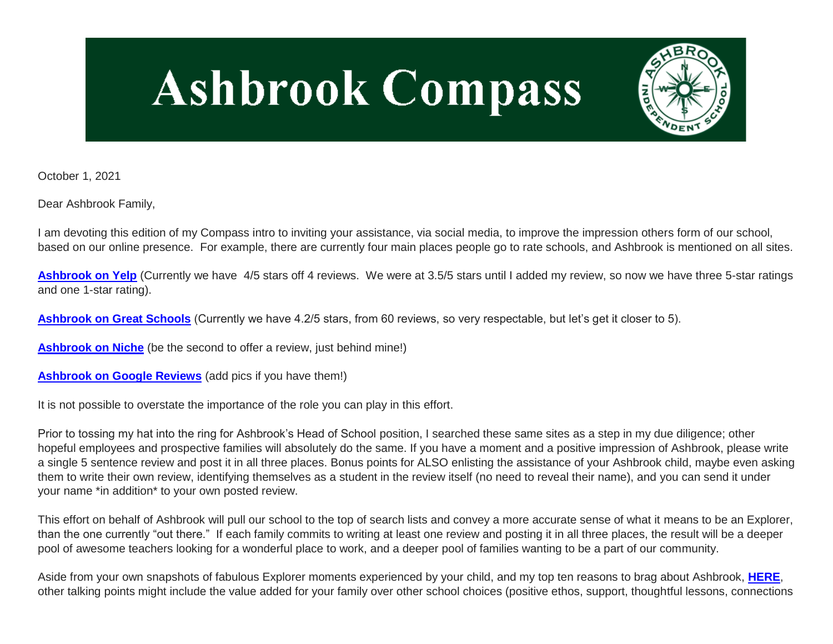# **Ashbrook Compass**



October 1, 2021

Dear Ashbrook Family,

I am devoting this edition of my Compass intro to inviting your assistance, via social media, to improve the impression others form of our school, based on our online presence. For example, there are currently four main places people go to rate schools, and Ashbrook is mentioned on all sites.

[Ashbrook on Yelp](http://link.mystudentsprogress.com/ls/click?upn=5XDbAd9r0ovG7GZusFBG8ArlBqeE5IAnSePqR8j-2B0JgGXBrXaMkUH5xXencE30HhlVXXC5H94MzNlHHHj-2FD-2FIolCcKTtNHJR9UEA7RgJlE4-3DyEhD_1PndbFfBoQGSZbxwXHHEexw3B2F0fG-2BUmuXm6a-2BX-2BzvL8rXTunzHMI6IkDf7bdBzk33hechsGzTZUbsVa-2FUS4L465T8sFBcKirSYJywl5JjhLzRsyYe8h27VdzQU4PNkSLfrwjmEu70mC7J38A0p3JF56TAufMdm-2Bghr63a4hVUnwtKFJeaHoHZerb7Tg9IYjThxcVEDixdBqQcFSQDuYhKBnHtG6BK7qbUzQr4LTMS4yPbdIkCvxET0Pp-2BKniYWB-2FpJBuKEogl3zYFGAwHKNQuSAtJs-2FMxY1SubadRiQvDmzPeKeL-2B-2BLvY0EE7tpwvZWOhKVmrirFpH5rpXwjqXXVWanlWXPdTGg1egZOZdOK9dyCOdbrbz7W-2FsXKJxARaCcWHuFKRHRuuw2Du9Yn09TAMW81533Tj7AG-2F6lQ1UWSdaMUUkNiMrKsiW69bWCzQ8) (Currently we have 4/5 stars off 4 reviews. We were at 3.5/5 stars until I added my review, so now we have three 5-star ratings and one 1-star rating).

**[Ashbrook on Great Schools](http://link.mystudentsprogress.com/ls/click?upn=5XDbAd9r0ovG7GZusFBG8EQzakSobdT7E0C0fF-2FqIhx506H-2Bq-2BTUGm2jD1tBSD5tmI4rQj-2F317-2BMJGYpQ01qPARQ5On6VU7PUNFxs5e-2FIZVRVXb9qaVtJ6D333PKmSIOCQRQ_1PndbFfBoQGSZbxwXHHEexw3B2F0fG-2BUmuXm6a-2BX-2BzvL8rXTunzHMI6IkDf7bdBzk33hechsGzTZUbsVa-2FUS4H-2BCXZa6NYKTUs-2BYeeiv2mq-2Fyoz-2BZllcTC1jQRyXxlbJFNnEblQwuEGnCFENJ5oyk6aMRKLLEsaljSbBioYHW6oTT7amie1eeBO1RHXtdvQatKdPFagaL6lnwYSWBI0oyX4n1k-2BCidPlCDsZCkV4jcKOjBnJWFEVfUbtMEaz5h8WEIvHHHvZ3nlQ-2Bas9I4s-2FaDrTNR9bb3PrCdEoT-2Beudvhnr9ShPyu3fsZt69crXxgIf6Ib5RLkVxDfPCjR-2Bt7nX7peAwT0YaoEYILTwY4lSGTnV-2BlZ6GWiRJXmOgk9UXPWmNoWKP-2BkAjOgmmKfy053gvLczZ3gEfAOmy3uL8F6jqCdKIqXhVCBYeK8kMGX-2B8pg)** (Currently we have 4.2/5 stars, from 60 reviews, so very respectable, but let's get it closer to 5).

**[Ashbrook on Niche](http://link.mystudentsprogress.com/ls/click?upn=5XDbAd9r0ovG7GZusFBG8M-2B2q7ptOINWHjeGmse6qDhpqzUuZRv0cvDW1eAiFLlcXRL5PB-2FO41b9X601CJ1E9jTRkCcyzos3SK3Nijdvfn0-3DxPXz_1PndbFfBoQGSZbxwXHHEexw3B2F0fG-2BUmuXm6a-2BX-2BzvL8rXTunzHMI6IkDf7bdBzk33hechsGzTZUbsVa-2FUS4PBkgabAOgNT2d8TbZLaBE9gIx-2FblLNMYBrwlc6aAGn7EgLc4GLAL41TYYXXVUqaNa1GN3IoSxbnjKqEGvh-2B-2FvK-2FNaGA-2FLgx4hPMNfEaxwBfmV2lLLh1-2BCHOS8x-2BGLkDwHUfWRH3SnemUAHoVGf5iBzcP55kpPcvf2gIN6Flln-2FN1vZpxjW-2BuitMaSyQqENR9nPbwZc-2BGrsHAJ870l3-2FMcrveam7p186QzU7pWz4AYU48D6jiVMxmt6qUt4flEtUTyso8oHVYoqyqXoGhCEqbfTX2MYHx9M4evQo-2BcHPifSsyQSftOKPnkAzs0HdaX1nOs7FBdVEt6SBgzQFSj-2FG7jvYDD2STSwLRnqmpV-2BPami-2B)** (be the second to offer a review, just behind mine!)

**[Ashbrook on Google Reviews](http://link.mystudentsprogress.com/ls/click?upn=5XDbAd9r0ovG7GZusFBG8EZknkiar5TD-2BKh9YYHYaWWfbe9a8h0vwBtdQjr6ISrRdjnLqhc6vpiNsNq9i6Kw9h-2F-2ByiUr-2BKRAzyfzUgJd-2Bbk7BiU-2F-2FzRjkR336yUpGlyG2j-2FaeoijcTQ-2B1B9XJsiktHc8HgDty22XX64BX-2FVibocXg-2BBDGiVqpRi6U0mi93h2nqKjTgYmmGAq7uiaoHKJCp94d2CO49-2FyZCBHooUt2NmzMgxz-2FhMWdJUWzg8ibltp29jNANgPXB-2Fn62LESt2oLDp5mo5ibHxCyGK-2BDY7ajETG0qGOX2sKQpE4ufTfHHpxqDxtPG9lD3pK77rGFBHxiSyM7s9EoSwz4cP-2B06c33foPwhn-2BICq73EyAthFbFQvlUW9-2F8NecpVoODkNE9Fu5pqAL0SLqbqRsMvFh753x1htlIrdOfKnyZRnH2iV8FpCelsaRlxEqZtTud5-2B5tf84jbO4JJUEr1SWgs7b57OTsq6xvLXLLlm4yJLRyDGE3TeKp1lNG1fGBp-2BgoL-2BZpIBsyqEDFbX4g9PfpkT0ey9ANFYJHnF8jjFzsDALrNUw4aXskM1UbCUCnQqTtA9boCmQaxmGohoJHlslLGCmA9JhtmAuX6DpfG7Rf0m75u3MxEQmjZkC9u5QqB2xk40VdgcoSe8qfDjb6tGfJrub8M5rs0mK5KjE2CTjp-2FE2Um87ZzPBhUSkm7hzF480BbTZr8LDiLYi-2B7cBv58BuTVaISJ3r8nR8oYhnzwfU8p-2Fy25SpnL79mk6s06qpPUgKAS1QCFzmP-2Bm7b-2FgYqburCpUsVoLW-2FKYWSn1ZAx3dP-2FpkRTYN7qc0OFf9JadUyeOw-2BAPfgMQTFigXsXqFLA-2Bw-2FfMQlb4JLrAcN9SGOOpnwqY-2FtXvspUXtRNV-2BdEKp58O5Y67eOF2WBVdJ4fgv53dV3Z92ptMfR4p5f-2FUTwZh51vVN70lF9cyksHDDp034zxtP-2BccuuSx0J6R0DwK6LrE4b0iFQisQKM9VgZvnP1ZCYimB44X-2F0b8qv6i_1PndbFfBoQGSZbxwXHHEexw3B2F0fG-2BUmuXm6a-2BX-2BzvL8rXTunzHMI6IkDf7bdBzk33hechsGzTZUbsVa-2FUS4ATrC-2FosbB7jNmrHdYO-2BDOGRpSm2zZ38RqEfw8qaUxAKwAiVe3GucoD8tB8LRiAjSzVeK3gyOoKTgNDddJY8D0blhFfPdFXB5DDZjrS2LftRNeAudj6FKYV9IqHLz0J9-2FBat-2Bj9-2FmW8ctHTLrFhSsb-2BrbiU-2FZ1NiSVMxi7dnn6k5w2pbqONzbAVjRFio9KeDB3rUXgKz-2Btfzry8fxb9Hk3heOlCXcS-2BvtWc0KPWLd4a0K31zwvMXQl6frRVEvvYhv73h-2FEW9gkWAYwtZg4JUEMcn-2BDO3WEJaDdHt5If2dnDFs6JLKv-2Bn4qhi1pQOJ36UiCrdi0MR1RmBjXc5msfM-2BHY9roSY-2FQOmu7lUPZmihu8S)** (add pics if you have them!)

It is not possible to overstate the importance of the role you can play in this effort.

Prior to tossing my hat into the ring for Ashbrook's Head of School position, I searched these same sites as a step in my due diligence; other hopeful employees and prospective families will absolutely do the same. If you have a moment and a positive impression of Ashbrook, please write a single 5 sentence review and post it in all three places. Bonus points for ALSO enlisting the assistance of your Ashbrook child, maybe even asking them to write their own review, identifying themselves as a student in the review itself (no need to reveal their name), and you can send it under your name \*in addition\* to your own posted review.

This effort on behalf of Ashbrook will pull our school to the top of search lists and convey a more accurate sense of what it means to be an Explorer, than the one currently "out there." If each family commits to writing at least one review and posting it in all three places, the result will be a deeper pool of awesome teachers looking for a wonderful place to work, and a deeper pool of families wanting to be a part of our community.

Aside from your own snapshots of fabulous Explorer moments experienced by your child, and my top ten reasons to brag about Ashbrook, **[HERE](http://link.mystudentsprogress.com/ls/click?upn=VpBe6Z9t6RkEC4qAoQCerkRqVNRJCi4SE2bZPjoSvlzTD0HI4Wti75FiopqkUUnEHqyjk8EB-2BsYSiQl4fDp8a0EWPa1j0yn6mNZfRzpxhbQkj2hvkmoDvlZpVbJWtad7vA0K_1PndbFfBoQGSZbxwXHHEexw3B2F0fG-2BUmuXm6a-2BX-2BzvL8rXTunzHMI6IkDf7bdBzk33hechsGzTZUbsVa-2FUS4GiIVpliIIVf-2FJPRVKLlv6Mg6j5BFbv5C1JZ1Mnuek8X5B9CBHfu0MfuXUTXTbCzcBhx4uo7d1mg1ODXXlBK8y7p6VysK4velJuU4sNmG0X5vtuudVoICJFq1inQm2xqiCVojvtmGbggl6UiARopgmcY6rp9Dcq-2BFPXPpXhjVH6ZOOu703SPgftVs74b8OKdXCiFu5ywp9PwQb6nzXIs1E-2Fn4kPbPuo7B7oXVxGG1cmcsljl7qWuobS4NKY711A7aebj4KP2FmOTQqMUhBpGKT1r5jL2wlNs22uUsbWXRQa4WiqTJ94C8aAIE88xjNqqY7Uy6XmFXutxkg-2FOSSugk5pNrHKlW13wsF7i0bXSzlro)**, other talking points might include the value added for your family over other school choices (positive ethos, support, thoughtful lessons, connections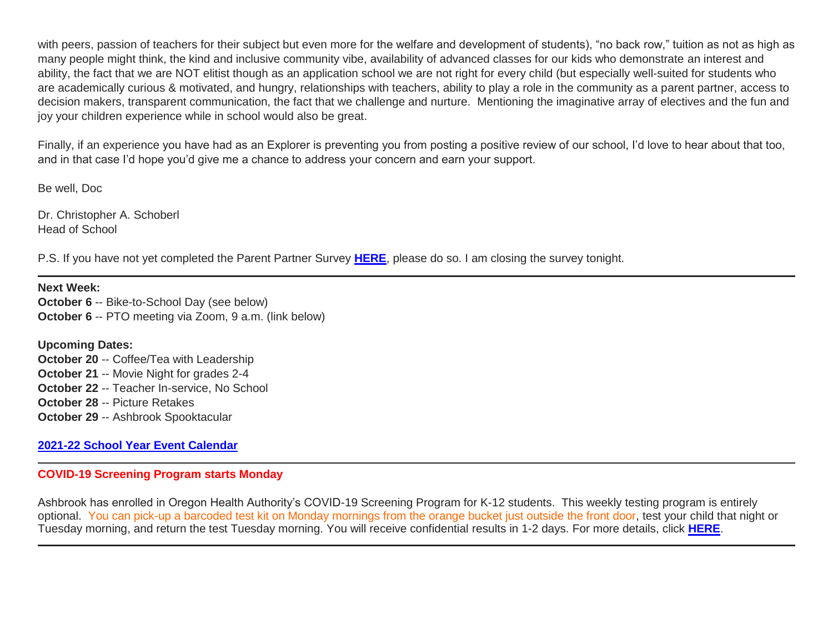with peers, passion of teachers for their subject but even more for the welfare and development of students), "no back row," tuition as not as high as many people might think, the kind and inclusive community vibe, availability of advanced classes for our kids who demonstrate an interest and ability, the fact that we are NOT elitist though as an application school we are not right for every child (but especially well-suited for students who are academically curious & motivated, and hungry, relationships with teachers, ability to play a role in the community as a parent partner, access to decision makers, transparent communication, the fact that we challenge and nurture. Mentioning the imaginative array of electives and the fun and joy your children experience while in school would also be great.

Finally, if an experience you have had as an Explorer is preventing you from posting a positive review of our school, I'd love to hear about that too, and in that case I'd hope you'd give me a chance to address your concern and earn your support.

Be well, Doc

Dr. Christopher A. Schoberl Head of School

P.S. If you have not yet completed the Parent Partner Survey **[HERE](http://link.mystudentsprogress.com/ls/click?upn=VpBe6Z9t6RkEC4qAoQCeri-2FFFh7llDqKppeMq4GAyjRWQxckQw26M-2Bv6Io9sYjjzu11I-2FIHnrxqd6TMWI6gnx-2BiEK7Npr-2BpJ3so6M0GUxrRTpwZZYMhJ-2FmMHGccGwQxRDvsZHECICQBoGuYXr6ayZQ-3D-3DLM_a_1PndbFfBoQGSZbxwXHHEexw3B2F0fG-2BUmuXm6a-2BX-2BzvL8rXTunzHMI6IkDf7bdBzk33hechsGzTZUbsVa-2FUS4CYbJcXSWO-2BblmhWgN3mvm3zPHLX5EzBst-2FUKftYT5SilXo0zfQ5MtHXf6qDUjn-2BlzlXLRvyePiqq8MJEqJEykqPm-2BNQ6EWeNAJw42-2BCrOZouALdyblF3r-2BGrpNzAElTOI2SkBsn3mqqNpoEbjuNulQem3Ugjl-2BPI6fmtwkHdJF-2FXtJO4TutCRedukCaKNtCdNiIG3xwQxfTPrk-2FZFegOtVlwfyRCtKOLsG-2F5hlaD973TMlgAIMYcTs7z5pHq6BE9F-2FNpAmQLOlPCdPY-2BczHXsDS-2BoXZopt7Sd5-2Bimq1SL-2FmKbQW90aX40wG6MmU0Tm92tJXII8v41rttqEHEY0IR4ivHyBn1O58O5m8lS-2BHPdkJ)**, please do so. I am closing the survey tonight.

**Next Week: October 6** -- Bike-to-School Day (see below) **October 6** -- PTO meeting via Zoom, 9 a.m. (link below)

**Upcoming Dates: October 20** -- Coffee/Tea with Leadership **October 21** -- Movie Night for grades 2-4 **October 22** -- Teacher In-service, No School **October 28** -- Picture Retakes **October 29** -- Ashbrook Spooktacular

#### **[2021-22 School Year Event Calendar](http://link.mystudentsprogress.com/ls/click?upn=t3AI3kjK1Pyk9qPfHnOahelBVVSIlRAa3GeSLMbkINmgHr3guxrPuqfp-2Bh-2FJW4nCZ4g8Gi3XkGXC-2FKATZbsSvlLtGaxynoxi8rg7wuoRjJ9ogb5HbX999Eip-2FZE6wLdBt-2FZXHJBS6zquMLtzN9wyAf-2BwWQPV3rI3lDDknuQ1JHMBzJ8gUYT-2F7YzNEwZY9IsL01sHprQ-2FIDOi-2FxvxQxcWetx3uPiVsOO-2BTqPctwW7ytf9RkxC1x3UjTIEBtRaqxRocHrr-2BmciBR4-2BJ-2F9FRK9RIbCVijz3zpNIIcd4PIsUMddSSVNBf6Erlmv-2BHBcLMpY-2BXATDQ1ruaOReFDZmWYSBv8U-2FG-2FKOr0yEkAwqSdMzdcQ3gq4Z79RZNOTZP4nGap5-2B4nzc4nIf29OyD3NhvJHQaLkc85sE-2FfYbPaGyyk6H2FOzJRYThJmT37US6LpTrGNlh9HxVTLYe1LpjcNTBXNJsSKlp-2BAa-2BVuGTdE8v33fTt9-2BgR-2BE9tSlDPzhNHxWPZ2RZ535aLRz3SoCCiPZR3EABfh4FMKDRC4z2q-2Bvjvbtim7SOD4kDD2r5XYSDBe4a3bcI5fNds6iRAQWmj3uDnwn3-2B3tKuGNT1JKaRpJXKTgGLzWZLAnNUo4fvdQC77H83vaK-2BM8PCeLuljt-2FRAsnx0cP-2FGdRouESOyMOB5ORkT-2BH-2Bkw4hRRiiTCpe61BsZqpA-2Bu7xYe_1PndbFfBoQGSZbxwXHHEexw3B2F0fG-2BUmuXm6a-2BX-2BzvL8rXTunzHMI6IkDf7bdBzk33hechsGzTZUbsVa-2FUS4AY39iF4gkkFl8OC6Frf-2BVp4d9eAXSuWsV1meSMC32KViGdyFkKHUZHMR1Ln7S5vfcJQ-2FpLNJST-2Bfnse6ajgOp4CBN8YKNLOfQP5mX0TqG6VfvurlVWA9obQypvbrt-2Belo1cSmcVL34KnSg1r5RKjI9h-2BRBK48YkvKZe5k6zroJqGa758NCyU7bsmCqY8D0Yxc6Q9OxAQ8GaG8T7hOZRCoRa-2B1M5ezYdVqakq8ZnZh2-2BQFdF22AZ42CWVm5QfFXTf6uX-2FnCO-2BHDiF91yViCHSKcsYZTZe6yq6Xpp56HFtRN1e-2B0S-2BRxkoAyp6vK-2FUqsPpAIS1sC0mGmJr1HbtGwUpYO3BLKEmcBJkO9mclzp204V)**

## **COVID-19 Screening Program starts Monday**

Ashbrook has enrolled in Oregon Health Authority's COVID-19 Screening Program for K-12 students. This weekly testing program is entirely optional. You can pick-up a barcoded test kit on Monday mornings from the orange bucket just outside the front door, test your child that night or Tuesday morning, and return the test Tuesday morning. You will receive confidential results in 1-2 days. For more details, click **[HERE](http://link.mystudentsprogress.com/ls/click?upn=n7jYKe39nC4PrVAw2BzaOolgU5XUleaJ61qfvNJxTW3uoi8RFzNYUfSc1qXdqajA34djZWrxIBJBxzp2whbybvqIYp3dDOkCDgKesziBdCm5lREQK9RheqVEh9QjAqMMz0UWhlnOZ-2B3RUAGeWpjHrkMIUF8j8RLxhXnCxS94iqC4ZnDQ5YPoCZSnFKK3KrrVEXGN_1PndbFfBoQGSZbxwXHHEexw3B2F0fG-2BUmuXm6a-2BX-2BzvL8rXTunzHMI6IkDf7bdBzk33hechsGzTZUbsVa-2FUS4Oq-2BsbsqiNqYlNLBViAf1tn-2BazZueD2zgDKFzzvCL8VxmjjjCk37bHs8N7kbTXDW0NrAR2Ayi-2BhV-2Bi4sj0qT4NLLSf9Z6D06VfuPVOOdvZtNuVrWvgbQtK0zDpquaG0pj16czVt3g8J4KKufMD7qN3STL6i5hhAZ7z0-2FvJOm4vcsRmbmzg12LDPdmeAiODl9RBcZ52A9jJWf4Wn-2FH8dCfR07nnTZAVCog5HJjgpXpmek9ikCH2C9kwtZ5jL4Cw6dEYg8rDAfHU1fGMQk4G3jYjH2DhmklOmmtkajP2D-2FkFi1RkG3OIp-2BBUuqqwS8reDmEKmbnHDilwaZkOY-2FR7FXNGwScBeRt1U206pr-2B2lYOQZm)**.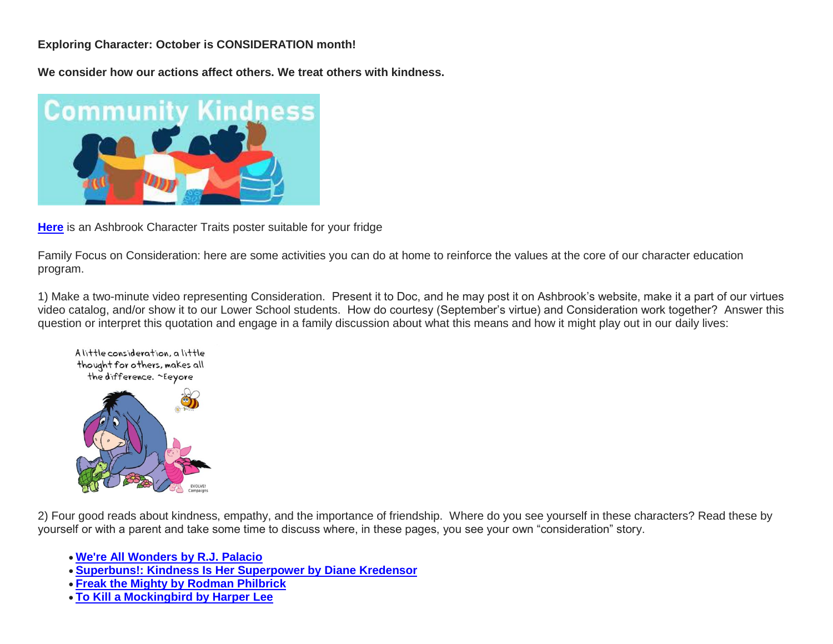## **Exploring Character: October is CONSIDERATION month!**

**We consider how our actions affect others. We treat others with kindness.**



**[Here](http://link.mystudentsprogress.com/ls/click?upn=n7jYKe39nC4PrVAw2BzaOolgU5XUleaJ61qfvNJxTW3uoi8RFzNYUfSc1qXdqajA34djZWrxIBJBxzp2whbybvqIYp3dDOkCDgKesziBdClZzxSWU41H65tCwGjbVrt3-2BF0X2hU7a8bZENtzD4dHsYU5ZeABRZL3pKJZRDk2iGQ-3DM2mz_1PndbFfBoQGSZbxwXHHEexw3B2F0fG-2BUmuXm6a-2BX-2BzvL8rXTunzHMI6IkDf7bdBzk33hechsGzTZUbsVa-2FUS4M-2FVGguBXdRF6yYjpSBL4s9RDHTT5wsAUNtMwDEcbfoW0p8PCQ-2F4SWldHGTdehUE-2Bhvm-2BDFOaQVRBsP3yFYiu2RpHOl4yUygrwsKZ8N2xXvpl3Nbgqv5vvU4tbDBjJVboZoH4yyQ0ER6mDLyX7cJhG7l7bXhE4LWr6aAD-2F84xkF81Tvl-2B-2BjPpJvQpBYSqwLMA-2Fdipt2laviFzC4T1nHxkKKPFO7ojDap-2BMWnih9eAlqdCsVNl2MnEVreH-2B0ainSrBW-2FeCo8cNpNR13jRyjMb1m5ld-2FPUMuXhSPrcrT1aRZh9M8PQDrlrt4uRVbEqnAyovInIwPlvx0nKEiewexcnkDdnUIR5nD0yqMJODpIHTWjY)** is an Ashbrook Character Traits poster suitable for your fridge

Family Focus on Consideration: here are some activities you can do at home to reinforce the values at the core of our character education program.

1) Make a two-minute video representing Consideration. Present it to Doc, and he may post it on Ashbrook's website, make it a part of our virtues video catalog, and/or show it to our Lower School students. How do courtesy (September's virtue) and Consideration work together? Answer this question or interpret this quotation and engage in a family discussion about what this means and how it might play out in our daily lives:



2) Four good reads about kindness, empathy, and the importance of friendship. Where do you see yourself in these characters? Read these by yourself or with a parent and take some time to discuss where, in these pages, you see your own "consideration" story.

- **[We're All Wonders by R.J. Palacio](http://link.mystudentsprogress.com/ls/click?upn=5XDbAd9r0ovG7GZusFBG8DcIynHwqgIqUtZGMR0M-2FUKytz9Wqj8b-2FfRPTmOfyUErOvmZxNwzAits82KfeThQpMIq6ACU2MZ1-2BcRL2lXzWXuRabhiblJjv1DPc79Cmf0GsQxsnKc8BxCI8YHMcSDEjGUK0XYT8zwDSgWKaYFpx9lPY9M-2F-2BnK21IIn-2Be8jsA5eeBknFlpVoc-2B-2B8O5PB-2Bnx-2Bg-3D-3DqKPj_1PndbFfBoQGSZbxwXHHEexw3B2F0fG-2BUmuXm6a-2BX-2BzvL8rXTunzHMI6IkDf7bdBzk33hechsGzTZUbsVa-2FUS4Mngl5bH-2BpscyE8NDuc8-2FxsgQms3cWwmNN9KZlQUGG7ExbZuhzJ84Rw0OyvevB3SBi-2BVN5dB3YNSehSvGLkL-2FTTeKu1z3PPL5f8gnnTd-2FlDq60WWVPV9k-2FuTdvKYP7BqUyxnWwQ0W3Z34imF24s5NxuZwxiQfU9YgVDUDVBs9X1cfS80CWh74mCK8-2FV9SJkRlNwg2MN2gfNDGY6oAoxwllINhU1ORu0hbQxouHuHk1XIrGx2fHIghYqRlvJROUIeBjVZczmhSXu-2FpBO3jJuxulEl-2BcU5Ab4C6GMXqHXOPt2ciYd0eEBnNXKS0o0B8zIR1PEy6neKYmU2iJGHPnMlDkn43B2WnxaTDK-2FPy5r7h-2FlV)**
- **[Superbuns!: Kindness Is Her Superpower by](http://link.mystudentsprogress.com/ls/click?upn=5XDbAd9r0ovG7GZusFBG8Ni2Mvakf9pNUBZk-2BPYfVYF6-2FOK5ylTOoTO5PzpTWCzFsKNqpvEF5I3sLLu1afx6FkEq-2BEBLMKb6tjEYmBek6BcYme8RorPZwHQ0XofDz27maJtxsMkrtyzOhBbcpUhpe6eNUBV1SJRHck-2B3orbTbqV8tjhnUJLOmv0wLWzvwl6YLu9P5iw8LJrOywfzHSR6mjfoAgI1esJPlvnCW-2FLmMIkQKoLJ8N2-2F27-2BzeIxRiCHM2IEo-2BYEwrWjGGtWXxBKKdA-3D-3DwP4z_1PndbFfBoQGSZbxwXHHEexw3B2F0fG-2BUmuXm6a-2BX-2BzvL8rXTunzHMI6IkDf7bdBzk33hechsGzTZUbsVa-2FUS4F-2BiFGPsFhTdtVJ2oSBSUNyGU9SyqaBuqDZZ2WXmf-2Bg-2F0J0mfV6BLQRLHhRAfKc2GcxdCs774TuXv-2FKh4e9X902PfcOjuSwtDbBV-2FfrHEWvwr-2FANBdt4T28aQLvn-2Fw9qwEmZ6Qeb-2FiUl2nmHYPKO4k-2FJpy-2FhU6Qsse7cVRuq4nQnVrj-2FSss7lf-2BFoKtukk7c8cms7jZyEGECNTlTIyDiwkDumtuy4MhSAo7GErgBcM2sF8VtO03wlaT1zj88LinvSATo74-2BkC5trlMw5yeWANmjPgAI2o-2BJ33-2B1OKZd-2FKVJllc4X1wCuH0TZ3dSCCNBE3RyEga7Hxh9pSgAl5EDpapV1bidSXjkOdb-2FYs9EEZVWc) Diane Kredensor**
- **[Freak the Mighty by Rodman Philbrick](http://link.mystudentsprogress.com/ls/click?upn=5XDbAd9r0ovG7GZusFBG8ETPzhw1tWoK11Ndj8qrCmgPRwXmanuEM9zaqvWSdL52ZD7FPqAIiOaRe-2FGsKfJLyTrCUB08UbwQYx7u18R7PiFACg-2Fd-2F4iwH1ey-2Fgry0lTvkJ3H_1PndbFfBoQGSZbxwXHHEexw3B2F0fG-2BUmuXm6a-2BX-2BzvL8rXTunzHMI6IkDf7bdBzk33hechsGzTZUbsVa-2FUS4ANqtL6mRpGbCh73J0r09MAyyqELcBxGG3doZrt9TXYOxiDf-2FNiQ-2FnI0ZcNr4PRPTtM7WMnHLzwqqha9TnCumeatqfgPANvfw9LNbsdJwuicEspT-2FPbMBAjFORY2Q8H9-2FO3VwpNi1oetM5U-2FLGRxJ5kOGuZfFgnwIpxrda4UBDmsmp4-2F9jC9x1VA7l-2FdAsD4cfVcWb3wIqeesdnWmTI3Mv-2FH3Fba57Bbc5TEjWTTbht4ELXgtF73ReXMvCbs9ssptW3S3n7oaWCBV68VFCpcmXoFU7DJBXDRWKvftBxX3dK5CUxORXfVIBXWz8UtJz53HppriTiidK7FSeD1UX-2BHJwSI03NhTYHIhjSNYAImJEN4)**
- **[To Kill a Mockingbird by Harper Lee](http://link.mystudentsprogress.com/ls/click?upn=5XDbAd9r0ovG7GZusFBG8B3M-2B8fycpz-2BAOOhsm4HInPrIukAljaQwV40oM1gAiZNFYInB96wFMNWcy9kxNZVdJRRKp7UM-2BFZq9Qq4v-2FnNukLxggpLHi5cfAX0CzK2tgZ0qkLWLSs-2F6f6YkQKDDQ-2BdERg04NmKsJvKQdhQdPXbgWz0ZV7k-2BKFwZDFZIgMqCg-2Bc0mudEVVKfmIPx9gXUMrsq0DadIXEFEXsi9tKfG2fzxEZNdK1rIkgwU472-2B8ml-2ByvFFhkla5Kantoc16tYO5fKm-2F4pRMNGDKcspXwkE15d4-3DkMda_1PndbFfBoQGSZbxwXHHEexw3B2F0fG-2BUmuXm6a-2BX-2BzvL8rXTunzHMI6IkDf7bdBzk33hechsGzTZUbsVa-2FUS4GAilCYMRqe7dhorieMzcuewHQN2QwaeZ-2F3-2B0rJG7y38Brk8i4qPfJ8pwECE1-2BT-2BWyNR4KHkypU7tdZWdB9E1rPnO-2Fy-2Bf1NXR3LLOUjL7qbKl4o8F7yYrTE9-2BfAg6V26dWpZ-2BJmMImBgcFLKnQUCw8YeAR6RT-2FQt9-2Buu4Ce67pd8D3qmloGzAjTZxBWmyEGH7b-2B-2BUrm2-2FIHQStdVUzpjJ80fzkkZ8rp6u6i6Nvaw3ub-2F9S87DQzqJwE-2Fo5-2BeFmTLpu6OOGmc3yJXXGlOh3ma5TdLXZbxGgOewu6F9rji9v47XJGd4ebUOxuXBx-2FAVUlcVge1sx5ifxJU3vgIUsR7cmmifu-2FUk-2FFOeyzrZ8LDvAR1)**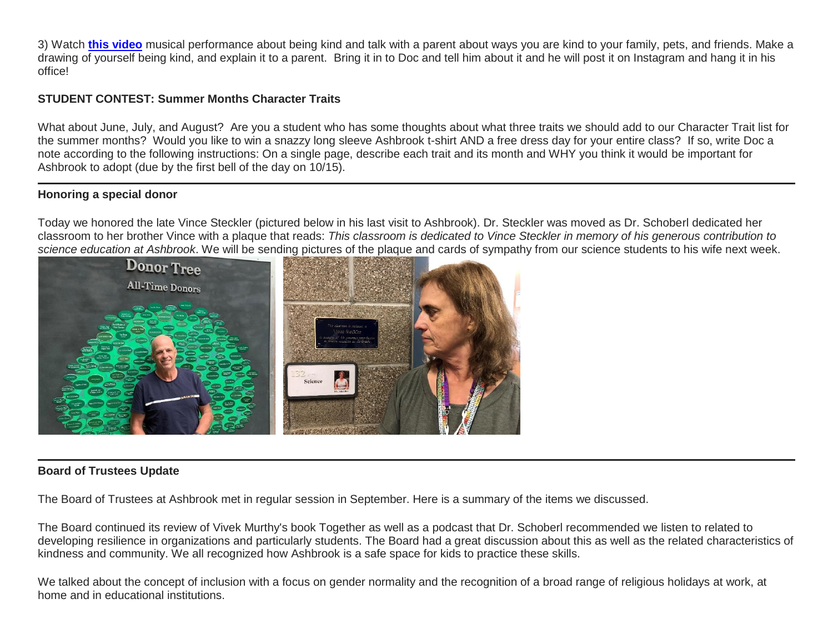3) Watch **[this video](http://link.mystudentsprogress.com/ls/click?upn=5XDbAd9r0ovG7GZusFBG8PfeZw8-2F7u87HLkeZtu3xvhv-2Fe2w7jQkWbd5xjrrq5-2B-2BCg8FCWe6eqPwaX5gddbrEg-3D-3DBV8D_1PndbFfBoQGSZbxwXHHEexw3B2F0fG-2BUmuXm6a-2BX-2BzvL8rXTunzHMI6IkDf7bdBzk33hechsGzTZUbsVa-2FUS4NO3szdi0oI9nSyFXJ2kkOsaotfQGRVLioo80Y10dvAjm8OUy9QSwHg3EBwtEdsyecP8qmnSa3hemzQbeH60DMu43gr-2FB-2F3HVC8sWofZAGqG2dDaPDcZuO4mfiCGoFSMSJDdL7O2ZQUSQY6u72l02g1O8N1zp05MadsgXBcgnGJIyl1rAnXyIzDr0piBUWyOe2bcqs017DFkTnpNRBdk5cMqHgb09P-2FVanba6dzwOMDYFe-2BxX563RKs0-2BLfFYJX6jBiB0-2FzA4V8KlcLK8S8ghb1MTMq9j67vaculyklc8h6O0xDR9QcpJUjX7DWYXYhMSTtzvif7UHqEX70civ8LTZxhDSED2-2BEDOuAj-2BuRVz1G9)** musical performance about being kind and talk with a parent about ways you are kind to your family, pets, and friends. Make a drawing of yourself being kind, and explain it to a parent. Bring it in to Doc and tell him about it and he will post it on Instagram and hang it in his office!

## **STUDENT CONTEST: Summer Months Character Traits**

What about June, July, and August? Are you a student who has some thoughts about what three traits we should add to our Character Trait list for the summer months? Would you like to win a snazzy long sleeve Ashbrook t-shirt AND a free dress day for your entire class? If so, write Doc a note according to the following instructions: On a single page, describe each trait and its month and WHY you think it would be important for Ashbrook to adopt (due by the first bell of the day on 10/15).

#### **Honoring a special donor**

Today we honored the late Vince Steckler (pictured below in his last visit to Ashbrook). Dr. Steckler was moved as Dr. Schoberl dedicated her classroom to her brother Vince with a plaque that reads: *This classroom is dedicated to Vince Steckler in memory of his generous contribution to science education at Ashbrook*. We will be sending pictures of the plaque and cards of sympathy from our science students to his wife next week.



#### **Board of Trustees Update**

The Board of Trustees at Ashbrook met in regular session in September. Here is a summary of the items we discussed.

The Board continued its review of Vivek Murthy's book Together as well as a podcast that Dr. Schoberl recommended we listen to related to developing resilience in organizations and particularly students. The Board had a great discussion about this as well as the related characteristics of kindness and community. We all recognized how Ashbrook is a safe space for kids to practice these skills.

We talked about the concept of inclusion with a focus on gender normality and the recognition of a broad range of religious holidays at work, at home and in educational institutions.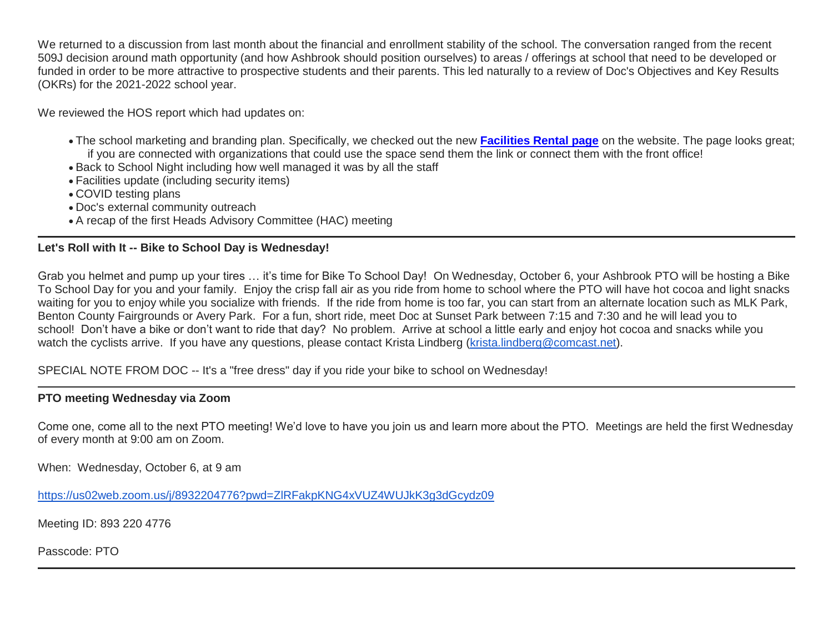We returned to a discussion from last month about the financial and enrollment stability of the school. The conversation ranged from the recent 509J decision around math opportunity (and how Ashbrook should position ourselves) to areas / offerings at school that need to be developed or funded in order to be more attractive to prospective students and their parents. This led naturally to a review of Doc's Objectives and Key Results (OKRs) for the 2021-2022 school year.

We reviewed the HOS report which had updates on:

- The school marketing and branding plan. Specifically, we checked out the new **[Facilities Rental page](http://link.mystudentsprogress.com/ls/click?upn=5XDbAd9r0ovG7GZusFBG8PaUF78UqItDelTGdwk7Y5atou9gtLDVWPHz20ekWqdX8QiuFsmmMIqk7v9aV5ZwzGC-2Bz59IZUE4QsAV9oXhIcgUm8nuz43bjY0rGl2It4qJG2xV_1PndbFfBoQGSZbxwXHHEexw3B2F0fG-2BUmuXm6a-2BX-2BzvL8rXTunzHMI6IkDf7bdBzk33hechsGzTZUbsVa-2FUS4DfEsmkoDA827OWw1sCzIP7bpCvrBmr9yFT7GkLAjlWAsLnS6xKnuhspZAehL-2BW15zEy-2FNwbzyrNTNLlVJsMVuyzXs77P4SBrqJp8aULdxazKAUtJc-2FWA3Biu-2BPm0Qb9LfxW3flRmGh3wWaRsYNLe7oYGscQS2CY1Nhj-2BP5KVZxp9K0TE-2FaDxe8q9AHpspCCCs-2BdX-2FWpIKw-2FFNKOTi9JdxjFYa-2FpMSf60caIeaCK8g45XysfsinZjGs3ATlNdEa7s0dAeKeS46Y1uys4HzGIEqlMhiOTcb9I3yv0GdRKcta0jmn-2F5mkwkHsOuce3z7Zm1V17tY0asjlugLco4CpkAAU4XGXP4IC439b9ZDt0276d)** on the website. The page looks great; if you are connected with organizations that could use the space send them the link or connect them with the front office!
- Back to School Night including how well managed it was by all the staff
- Facilities update (including security items)
- COVID testing plans
- Doc's external community outreach
- A recap of the first Heads Advisory Committee (HAC) meeting

# **Let's Roll with It -- Bike to School Day is Wednesday!**

Grab you helmet and pump up your tires … it's time for Bike To School Day! On Wednesday, October 6, your Ashbrook PTO will be hosting a Bike To School Day for you and your family. Enjoy the crisp fall air as you ride from home to school where the PTO will have hot cocoa and light snacks waiting for you to enjoy while you socialize with friends. If the ride from home is too far, you can start from an alternate location such as MLK Park, Benton County Fairgrounds or Avery Park. For a fun, short ride, meet Doc at Sunset Park between 7:15 and 7:30 and he will lead you to school! Don't have a bike or don't want to ride that day? No problem. Arrive at school a little early and enjoy hot cocoa and snacks while you watch the cyclists arrive. If you have any questions, please contact Krista Lindberg [\(krista.lindberg@comcast.net\)](mailto:krista.lindberg@comcast.net).

SPECIAL NOTE FROM DOC -- It's a "free dress" day if you ride your bike to school on Wednesday!

# **PTO meeting Wednesday via Zoom**

Come one, come all to the next PTO meeting! We'd love to have you join us and learn more about the PTO. Meetings are held the first Wednesday of every month at 9:00 am on Zoom.

When: Wednesday, October 6, at 9 am

<https://us02web.zoom.us/j/8932204776?pwd=ZlRFakpKNG4xVUZ4WUJkK3g3dGcydz09>

Meeting ID: 893 220 4776

Passcode: PTO